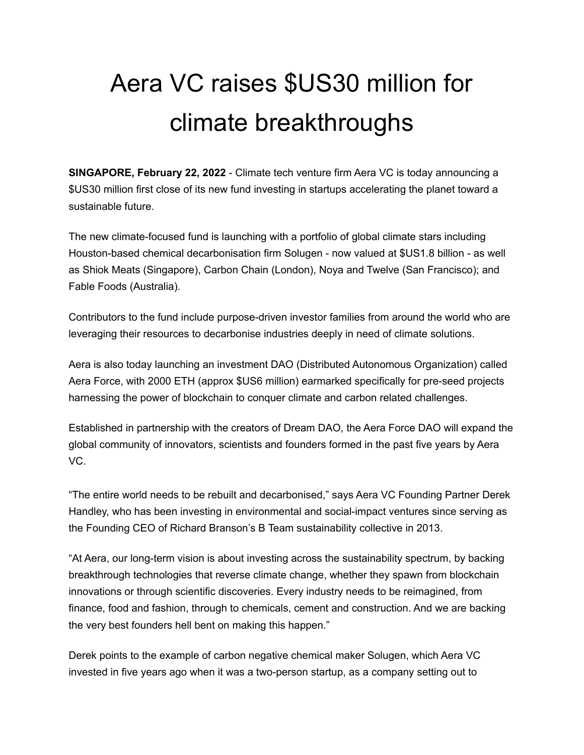## Aera VC raises \$US30 million for climate breakthroughs

**SINGAPORE, February 22, 2022** - Climate tech venture firm Aera VC is today announcing a \$US30 million first close of its new fund investing in startups accelerating the planet toward a sustainable future.

The new climate-focused fund is launching with a portfolio of global climate stars including Houston-based chemical decarbonisation firm Solugen - now valued at \$US1.8 billion - as well as Shiok Meats (Singapore), Carbon Chain (London), Noya and Twelve (San Francisco); and Fable Foods (Australia).

Contributors to the fund include purpose-driven investor families from around the world who are leveraging their resources to decarbonise industries deeply in need of climate solutions.

Aera is also today launching an investment DAO (Distributed Autonomous Organization) called Aera Force, with 2000 ETH (approx \$US6 million) earmarked specifically for pre-seed projects harnessing the power of blockchain to conquer climate and carbon related challenges.

Established in partnership with the creators of Dream DAO, the Aera Force DAO will expand the global community of innovators, scientists and founders formed in the past five years by Aera VC.

"The entire world needs to be rebuilt and decarbonised," says Aera VC Founding Partner Derek Handley, who has been investing in environmental and social-impact ventures since serving as the Founding CEO of Richard Branson's B Team sustainability collective in 2013.

"At Aera, our long-term vision is about investing across the sustainability spectrum, by backing breakthrough technologies that reverse climate change, whether they spawn from blockchain innovations or through scientific discoveries. Every industry needs to be reimagined, from finance, food and fashion, through to chemicals, cement and construction. And we are backing the very best founders hell bent on making this happen."

Derek points to the example of carbon negative chemical maker Solugen, which Aera VC invested in five years ago when it was a two-person startup, as a company setting out to